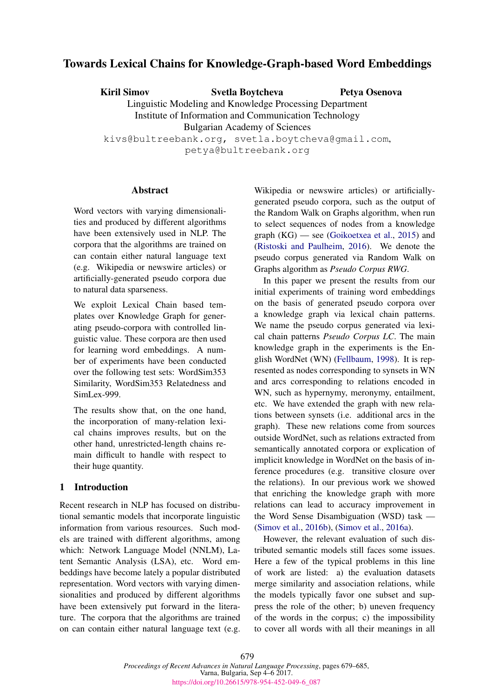# Towards Lexical Chains for Knowledge-Graph-based Word Embeddings

Kiril Simov Svetla Boytcheva Linguistic Modeling and Knowledge Processing Department Institute of Information and Communication Technology Bulgarian Academy of Sciences kivs@bultreebank.org, svetla.boytcheva@gmail.com, petya@bultreebank.org Petya Osenova

# **Abstract**

Word vectors with varying dimensionalities and produced by different algorithms have been extensively used in NLP. The corpora that the algorithms are trained on can contain either natural language text (e.g. Wikipedia or newswire articles) or artificially-generated pseudo corpora due to natural data sparseness.

We exploit Lexical Chain based templates over Knowledge Graph for generating pseudo-corpora with controlled linguistic value. These corpora are then used for learning word embeddings. A number of experiments have been conducted over the following test sets: WordSim353 Similarity, WordSim353 Relatedness and SimLex-999.

The results show that, on the one hand, the incorporation of many-relation lexical chains improves results, but on the other hand, unrestricted-length chains remain difficult to handle with respect to their huge quantity.

# 1 Introduction

Recent research in NLP has focused on distributional semantic models that incorporate linguistic information from various resources. Such models are trained with different algorithms, among which: Network Language Model (NNLM), Latent Semantic Analysis (LSA), etc. Word embeddings have become lately a popular distributed representation. Word vectors with varying dimensionalities and produced by different algorithms have been extensively put forward in the literature. The corpora that the algorithms are trained on can contain either natural language text (e.g.

Wikipedia or newswire articles) or artificiallygenerated pseudo corpora, such as the output of the Random Walk on Graphs algorithm, when run to select sequences of nodes from a knowledge graph (KG) — see (Goikoetxea et al., 2015) and (Ristoski and Paulheim, 2016). We denote the pseudo corpus generated via Random Walk on Graphs algorithm as *Pseudo Corpus RWG*.

In this paper we present the results from our initial experiments of training word embeddings on the basis of generated pseudo corpora over a knowledge graph via lexical chain patterns. We name the pseudo corpus generated via lexical chain patterns *Pseudo Corpus LC*. The main knowledge graph in the experiments is the English WordNet (WN) (Fellbaum, 1998). It is represented as nodes corresponding to synsets in WN and arcs corresponding to relations encoded in WN, such as hypernymy, meronymy, entailment, etc. We have extended the graph with new relations between synsets (i.e. additional arcs in the graph). These new relations come from sources outside WordNet, such as relations extracted from semantically annotated corpora or explication of implicit knowledge in WordNet on the basis of inference procedures (e.g. transitive closure over the relations). In our previous work we showed that enriching the knowledge graph with more relations can lead to accuracy improvement in the Word Sense Disambiguation (WSD) task — (Simov et al., 2016b), (Simov et al., 2016a).

However, the relevant evaluation of such distributed semantic models still faces some issues. Here a few of the typical problems in this line of work are listed: a) the evaluation datasets merge similarity and association relations, while the models typically favor one subset and suppress the role of the other; b) uneven frequency of the words in the corpus; c) the impossibility to cover all words with all their meanings in all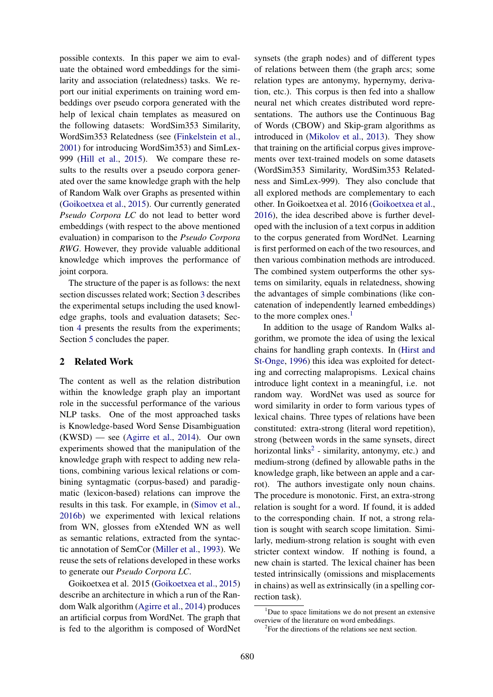possible contexts. In this paper we aim to evaluate the obtained word embeddings for the similarity and association (relatedness) tasks. We report our initial experiments on training word embeddings over pseudo corpora generated with the help of lexical chain templates as measured on the following datasets: WordSim353 Similarity, WordSim353 Relatedness (see (Finkelstein et al., 2001) for introducing WordSim353) and SimLex-999 (Hill et al., 2015). We compare these results to the results over a pseudo corpora generated over the same knowledge graph with the help of Random Walk over Graphs as presented within (Goikoetxea et al., 2015). Our currently generated *Pseudo Corpora LC* do not lead to better word embeddings (with respect to the above mentioned evaluation) in comparison to the *Pseudo Corpora RWG*. However, they provide valuable additional knowledge which improves the performance of joint corpora.

The structure of the paper is as follows: the next section discusses related work; Section 3 describes the experimental setups including the used knowledge graphs, tools and evaluation datasets; Section 4 presents the results from the experiments; Section 5 concludes the paper.

### 2 Related Work

The content as well as the relation distribution within the knowledge graph play an important role in the successful performance of the various NLP tasks. One of the most approached tasks is Knowledge-based Word Sense Disambiguation  $(KWSD)$  — see (Agirre et al., 2014). Our own experiments showed that the manipulation of the knowledge graph with respect to adding new relations, combining various lexical relations or combining syntagmatic (corpus-based) and paradigmatic (lexicon-based) relations can improve the results in this task. For example, in (Simov et al., 2016b) we experimented with lexical relations from WN, glosses from eXtended WN as well as semantic relations, extracted from the syntactic annotation of SemCor (Miller et al., 1993). We reuse the sets of relations developed in these works to generate our *Pseudo Corpora LC*.

Goikoetxea et al. 2015 (Goikoetxea et al., 2015) describe an architecture in which a run of the Random Walk algorithm (Agirre et al., 2014) produces an artificial corpus from WordNet. The graph that is fed to the algorithm is composed of WordNet synsets (the graph nodes) and of different types of relations between them (the graph arcs; some relation types are antonymy, hypernymy, derivation, etc.). This corpus is then fed into a shallow neural net which creates distributed word representations. The authors use the Continuous Bag of Words (CBOW) and Skip-gram algorithms as introduced in (Mikolov et al., 2013). They show that training on the artificial corpus gives improvements over text-trained models on some datasets (WordSim353 Similarity, WordSim353 Relatedness and SimLex-999). They also conclude that all explored methods are complementary to each other. In Goikoetxea et al. 2016 (Goikoetxea et al., 2016), the idea described above is further developed with the inclusion of a text corpus in addition to the corpus generated from WordNet. Learning is first performed on each of the two resources, and then various combination methods are introduced. The combined system outperforms the other systems on similarity, equals in relatedness, showing the advantages of simple combinations (like concatenation of independently learned embeddings) to the more complex ones. $<sup>1</sup>$ </sup>

In addition to the usage of Random Walks algorithm, we promote the idea of using the lexical chains for handling graph contexts. In (Hirst and St-Onge, 1996) this idea was exploited for detecting and correcting malapropisms. Lexical chains introduce light context in a meaningful, i.e. not random way. WordNet was used as source for word similarity in order to form various types of lexical chains. Three types of relations have been constituted: extra-strong (literal word repetition), strong (between words in the same synsets, direct horizontal links<sup>2</sup> - similarity, antonymy, etc.) and medium-strong (defined by allowable paths in the knowledge graph, like between an apple and a carrot). The authors investigate only noun chains. The procedure is monotonic. First, an extra-strong relation is sought for a word. If found, it is added to the corresponding chain. If not, a strong relation is sought with search scope limitation. Similarly, medium-strong relation is sought with even stricter context window. If nothing is found, a new chain is started. The lexical chainer has been tested intrinsically (omissions and misplacements in chains) as well as extrinsically (in a spelling correction task).

 $1$ Due to space limitations we do not present an extensive overview of the literature on word embeddings.

<sup>2</sup> For the directions of the relations see next section.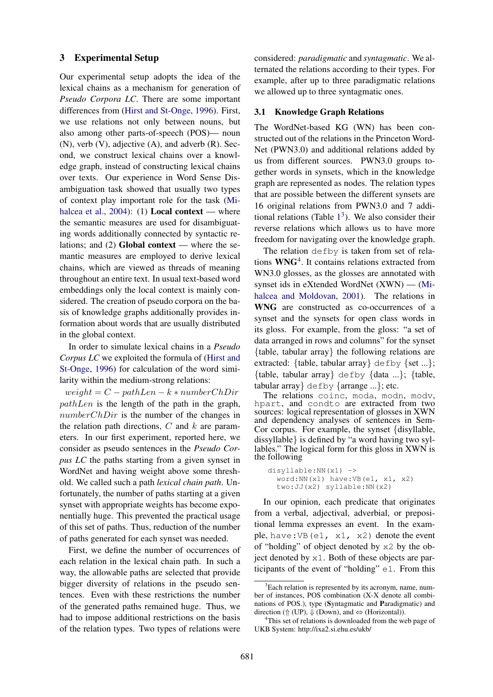# 3 Experimental Setup

Our experimental setup adopts the idea of the lexical chains as a mechanism for generation of *Pseudo Corpora LC*. There are some important differences from (Hirst and St-Onge, 1996). First, we use relations not only between nouns, but also among other parts-of-speech (POS)— noun (N), verb (V), adjective (A), and adverb (R). Second, we construct lexical chains over a knowledge graph, instead of constructing lexical chains over texts. Our experience in Word Sense Disambiguation task showed that usually two types of context play important role for the task (Mihalcea et al.,  $2004$ : (1) **Local context** — where the semantic measures are used for disambiguating words additionally connected by syntactic relations; and  $(2)$  Global context — where the semantic measures are employed to derive lexical chains, which are viewed as threads of meaning throughout an entire text. In usual text-based word embeddings only the local context is mainly considered. The creation of pseudo corpora on the basis of knowledge graphs additionally provides information about words that are usually distributed in the global context.

In order to simulate lexical chains in a *Pseudo Corpus LC* we exploited the formula of (Hirst and St-Onge, 1996) for calculation of the word similarity within the medium-strong relations:

 $weight = C - pathLen - k * numberChDir$  $pathLen$  is the length of the path in the graph, numberChDir is the number of the changes in the relation path directions,  $C$  and  $k$  are parameters. In our first experiment, reported here, we consider as pseudo sentences in the *Pseudo Corpus LC* the paths starting from a given synset in WordNet and having weight above some threshold. We called such a path *lexical chain path*. Unfortunately, the number of paths starting at a given synset with appropriate weights has become exponentially huge. This prevented the practical usage of this set of paths. Thus, reduction of the number of paths generated for each synset was needed.

First, we define the number of occurrences of each relation in the lexical chain path. In such a way, the allowable paths are selected that provide bigger diversity of relations in the pseudo sentences. Even with these restrictions the number of the generated paths remained huge. Thus, we had to impose additional restrictions on the basis of the relation types. Two types of relations were considered: *paradigmatic* and *syntagmatic*. We alternated the relations according to their types. For example, after up to three paradigmatic relations we allowed up to three syntagmatic ones.

#### 3.1 Knowledge Graph Relations

The WordNet-based KG (WN) has been constructed out of the relations in the Princeton Word-Net (PWN3.0) and additional relations added by us from different sources. PWN3.0 groups together words in synsets, which in the knowledge graph are represented as nodes. The relation types that are possible between the different synsets are 16 original relations from PWN3.0 and 7 additional relations (Table  $1<sup>3</sup>$ ). We also consider their reverse relations which allows us to have more freedom for navigating over the knowledge graph.

The relation defby is taken from set of relations  $WNG<sup>4</sup>$ . It contains relations extracted from WN3.0 glosses, as the glosses are annotated with synset ids in eXtended WordNet (XWN) — (Mihalcea and Moldovan, 2001). The relations in WNG are constructed as co-occurrences of a synset and the synsets for open class words in its gloss. For example, from the gloss: "a set of data arranged in rows and columns" for the synset {table, tabular array} the following relations are extracted: {table, tabular array}  $\text{defby} \$  {set ...}; {table, tabular array} defby {data ...}; {table, tabular array} defby {arrange ...}; etc.

The relations coinc, moda, modn, modv, hpart, and condto are extracted from two sources: logical representation of glosses in XWN and dependency analyses of sentences in Sem-Cor corpus. For example, the synset {disyllable, dissyllable} is defined by "a word having two syllables." The logical form for this gloss in XWN is the following

```
disyllable:NN(x1) ->
word:NN(x1) have:VB(e1, x1, x2)
two:JJ(x2) syllable:NN(x2)
```
In our opinion, each predicate that originates from a verbal, adjectival, adverbial, or prepositional lemma expresses an event. In the example, have: VB $(e1, x1, x2)$  denote the event of "holding" of object denoted by x2 by the object denoted by  $x1$ . Both of these objects are participants of the event of "holding" e1. From this

<sup>&</sup>lt;sup>3</sup>Each relation is represented by its acronym, name, number of instances, POS combination (X-X denote all combinations of POS.), type (Syntagmatic and Paradigmatic) and direction (↑ (UP),  $\Downarrow$  (Down), and  $\Leftrightarrow$  (Horizontal)).

<sup>&</sup>lt;sup>4</sup>This set of relations is downloaded from the web page of UKB System: http://ixa2.si.ehu.es/ukb/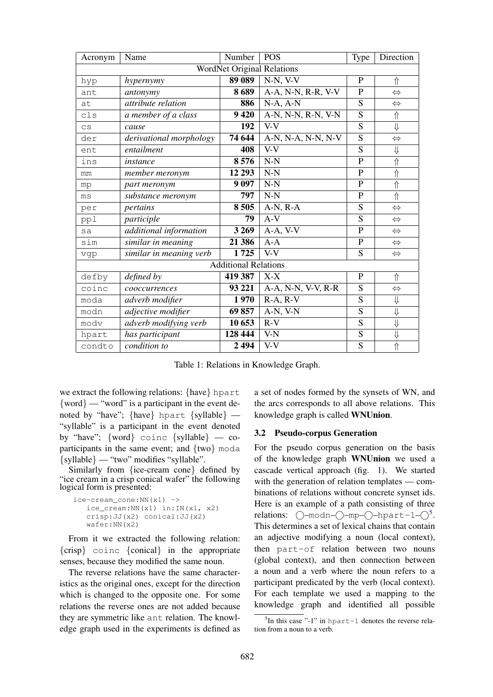| Acronym                           | Name                    | Number  | <b>POS</b>         | Type           | Direction               |  |  |
|-----------------------------------|-------------------------|---------|--------------------|----------------|-------------------------|--|--|
| <b>WordNet Original Relations</b> |                         |         |                    |                |                         |  |  |
| hyp                               | hypernymy               | 89 089  | $N-N, V-V$         | P              | ⇑                       |  |  |
| ant                               | antonymy                | 8689    | A-A, N-N, R-R, V-V | $\mathbf{P}$   | $\Leftrightarrow$       |  |  |
| at                                | attribute relation      | 886     | $N-A, A-N$         | S              | $\Leftrightarrow$       |  |  |
| c1s                               | a member of a class     | 9 4 20  | A-N, N-N, R-N, V-N | $\overline{S}$ | 介                       |  |  |
| $\mathsf{CS}\phantom{0}$          | cause                   | 192     | $V-V$              | $\overline{S}$ | $\overline{\Downarrow}$ |  |  |
| der                               | derivational morphology | 74 644  | A-N, N-A, N-N, N-V | S              | $\Leftrightarrow$       |  |  |
| ent                               | entailment              | 408     | $V-V$              | S              | $\Downarrow$            |  |  |
| ins                               | instance                | 8576    | $N-N$              | $\mathbf P$    | $\Uparrow$              |  |  |
| mm                                | member meronym          | 12 29 3 | $N-N$              | ${\bf P}$      | $\Uparrow$              |  |  |
| mp                                | part meronym            | 9 0 9 7 | $N-N$              | $\mathbf{P}$   | $\Uparrow$              |  |  |
| ms                                | substance meronym       | 797     | $N-N$              | $\overline{P}$ | 介                       |  |  |
| per                               | pertains                | 8505    | $A-N, R-A$         | S              | $\Leftrightarrow$       |  |  |
| ppl                               | participle              | 79      | $A-V$              | S              | $\Leftrightarrow$       |  |  |
| sa                                | additional information  | 3 2 6 9 | A-A, V-V           | $\mathbf P$    | $\Leftrightarrow$       |  |  |
| sim                               | similar in meaning      | 21 386  | $A - A$            | $\mathbf P$    | $\Leftrightarrow$       |  |  |
| vgp                               | similar in meaning verb | 1725    | $V-V$              | S              | $\Leftrightarrow$       |  |  |
| <b>Additional Relations</b>       |                         |         |                    |                |                         |  |  |
| defby                             | defined by              | 419 387 | $X-X$              | $\mathbf P$    | 介                       |  |  |
| coinc                             | cooccurrences           | 93 221  | A-A, N-N, V-V, R-R | $\overline{S}$ | $\Leftrightarrow$       |  |  |
| moda                              | adverb modifier         | 1970    | $R-A, R-V$         | S              | $\Downarrow$            |  |  |
| modn                              | adjective modifier      | 69857   | A-N, V-N           | S              | $\Downarrow$            |  |  |
| modv                              | adverb modifying verb   | 10 653  | $R-V$              | S              | $\Downarrow$            |  |  |
| hpart                             | has participant         | 128 444 | V-N                | S              | $\Downarrow$            |  |  |
| condto                            | condition to            | 2494    | $\overline{V}$ -V  | $\overline{S}$ | $\Uparrow$              |  |  |

Table 1: Relations in Knowledge Graph.

we extract the following relations: {have} hpart  $\{word\}$  — "word" is a participant in the event denoted by "have"; {have} hpart {syllable} — "syllable" is a participant in the event denoted by "have"; {word} coinc {syllable} — coparticipants in the same event; and {two} moda {syllable} — "two" modifies "syllable".

Similarly from {ice-cream cone} defined by "ice cream in a crisp conical wafer" the following logical form is presented:

```
ice-cream_cone:NN(x1) ->
 ice_cream:NN(x1) in:IN(x1, x2)
 crisp:JJ(x2) conical:JJ(x2)
 wafer:NN(x2)
```
From it we extracted the following relation: {crisp} coinc {conical} in the appropriate senses, because they modified the same noun.

The reverse relations have the same characteristics as the original ones, except for the direction which is changed to the opposite one. For some relations the reverse ones are not added because they are symmetric like ant relation. The knowledge graph used in the experiments is defined as

a set of nodes formed by the synsets of WN, and the arcs corresponds to all above relations. This knowledge graph is called WNUnion.

# 3.2 Pseudo-corpus Generation

For the pseudo corpus generation on the basis of the knowledge graph WNUnion we used a cascade vertical approach (fig. 1). We started with the generation of relation templates — combinations of relations without concrete synset ids. Here is an example of a path consisting of three relations:  $\bigcirc$ -modn- $\bigcirc$ -mp- $\bigcirc$ -hpart-1- $\bigcirc^5$ . This determines a set of lexical chains that contain an adjective modifying a noun (local context), then part-of relation between two nouns (global context), and then connection between a noun and a verb where the noun refers to a participant predicated by the verb (local context). For each template we used a mapping to the knowledge graph and identified all possible

 ${}^{5}$ In this case "-1" in hpart-1 denotes the reverse relation from a noun to a verb.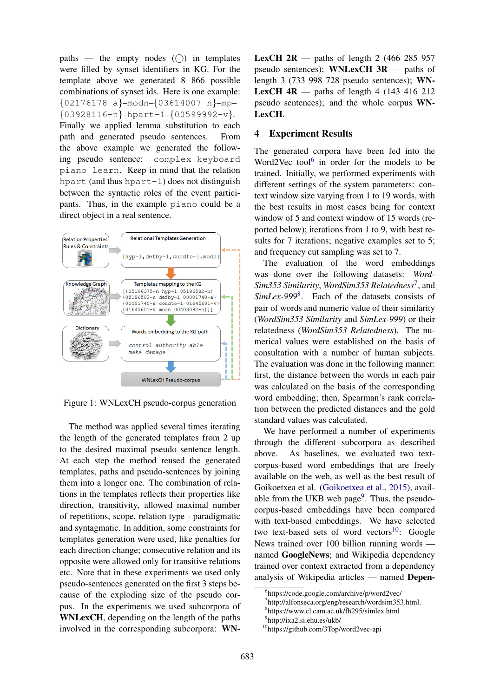paths — the empty nodes  $(\bigcap)$  in templates were filled by synset identifiers in KG. For the template above we generated 8 866 possible combinations of synset ids. Here is one example: {02176178-a}–modn–{03614007-n}–mp–  ${03928116-n}$ -hpart-1- ${00599992-v}$ . Finally we applied lemma substitution to each path and generated pseudo sentences. From the above example we generated the following pseudo sentence: complex keyboard piano learn. Keep in mind that the relation hpart (and thus hpart-1) does not distinguish between the syntactic roles of the event participants. Thus, in the example piano could be a direct object in a real sentence.



Figure 1: WNLexCH pseudo-corpus generation

The method was applied several times iterating the length of the generated templates from 2 up to the desired maximal pseudo sentence length. At each step the method reused the generated templates, paths and pseudo-sentences by joining them into a longer one. The combination of relations in the templates reflects their properties like direction, transitivity, allowed maximal number of repetitions, scope, relation type - paradigmatic and syntagmatic. In addition, some constraints for templates generation were used, like penalties for each direction change; consecutive relation and its opposite were allowed only for transitive relations etc. Note that in these experiments we used only pseudo-sentences generated on the first 3 steps because of the exploding size of the pseudo corpus. In the experiments we used subcorpora of WNLexCH, depending on the length of the paths involved in the corresponding subcorpora: WN-

**LexCH 2R** — paths of length 2 (466 285 957) pseudo sentences); WNLexCH  $3R$  — paths of length 3 (733 998 728 pseudo sentences); WN-**LexCH 4R** — paths of length 4 (143 416 212) pseudo sentences); and the whole corpus WN-LexCH.

### 4 Experiment Results

The generated corpora have been fed into the Word2Vec tool $<sup>6</sup>$  in order for the models to be</sup> trained. Initially, we performed experiments with different settings of the system parameters: context window size varying from 1 to 19 words, with the best results in most cases being for context window of 5 and context window of 15 words (reported below); iterations from 1 to 9, with best results for 7 iterations; negative examples set to 5; and frequency cut sampling was set to 7.

The evaluation of the word embeddings was done over the following datasets: *Word-*Sim353 Similarity, WordSim353 Relatedness<sup>7</sup>, and SimLex-999<sup>8</sup>. Each of the datasets consists of pair of words and numeric value of their similarity (*WordSim353 Similarity* and *SimLex-999*) or their relatedness (*WordSim353 Relatedness*). The numerical values were established on the basis of consultation with a number of human subjects. The evaluation was done in the following manner: first, the distance between the words in each pair was calculated on the basis of the corresponding word embedding; then, Spearman's rank correlation between the predicted distances and the gold standard values was calculated.

We have performed a number of experiments through the different subcorpora as described above. As baselines, we evaluated two textcorpus-based word embeddings that are freely available on the web, as well as the best result of Goikoetxea et al. (Goikoetxea et al., 2015), available from the UKB web page<sup>9</sup>. Thus, the pseudocorpus-based embeddings have been compared with text-based embeddings. We have selected two text-based sets of word vectors<sup>10</sup>: Google News trained over 100 billion running words named GoogleNews; and Wikipedia dependency trained over context extracted from a dependency analysis of Wikipedia articles — named Depen-

<sup>6</sup> https://code.google.com/archive/p/word2vec/

<sup>7</sup> http://alfonseca.org/eng/research/wordsim353.html.

<sup>8</sup> https://www.cl.cam.ac.uk/˜fh295/simlex.html

<sup>9</sup> http://ixa2.si.ehu.es/ukb/

<sup>10</sup>https://github.com/3Top/word2vec-api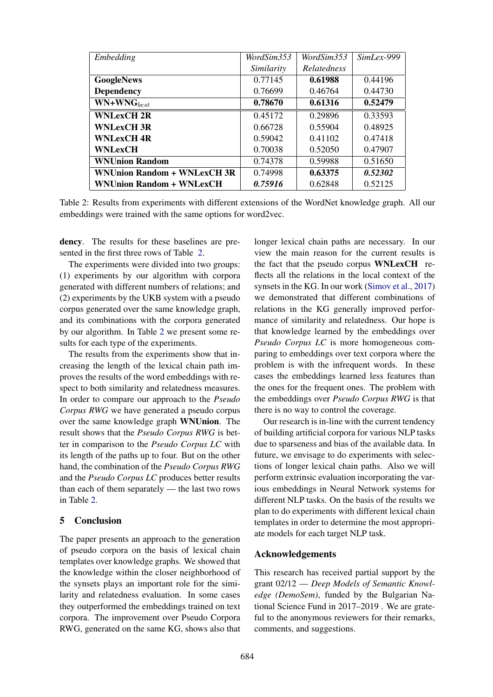| Embedding                       | WordSim353 | WordSim353         | $SimLex-999$ |
|---------------------------------|------------|--------------------|--------------|
|                                 | Similarity | <b>Relatedness</b> |              |
| <b>GoogleNews</b>               | 0.77145    | 0.61988            | 0.44196      |
| <b>Dependency</b>               | 0.76699    | 0.46764            | 0.44730      |
| $WN+WNG_{best}$                 | 0.78670    | 0.61316            | 0.52479      |
| <b>WNLexCH 2R</b>               | 0.45172    | 0.29896            | 0.33593      |
| <b>WNLexCH 3R</b>               | 0.66728    | 0.55904            | 0.48925      |
| <b>WNLexCH 4R</b>               | 0.59042    | 0.41102            | 0.47418      |
| <b>WNLexCH</b>                  | 0.70038    | 0.52050            | 0.47907      |
| <b>WNUnion Random</b>           | 0.74378    | 0.59988            | 0.51650      |
| WNUnion Random + WNLexCH 3R     | 0.74998    | 0.63375            | 0.52302      |
| <b>WNUnion Random + WNLexCH</b> | 0.75916    | 0.62848            | 0.52125      |

Table 2: Results from experiments with different extensions of the WordNet knowledge graph. All our embeddings were trained with the same options for word2vec.

dency. The results for these baselines are presented in the first three rows of Table 2.

The experiments were divided into two groups: (1) experiments by our algorithm with corpora generated with different numbers of relations; and (2) experiments by the UKB system with a pseudo corpus generated over the same knowledge graph, and its combinations with the corpora generated by our algorithm. In Table 2 we present some results for each type of the experiments.

The results from the experiments show that increasing the length of the lexical chain path improves the results of the word embeddings with respect to both similarity and relatedness measures. In order to compare our approach to the *Pseudo Corpus RWG* we have generated a pseudo corpus over the same knowledge graph WNUnion. The result shows that the *Pseudo Corpus RWG* is better in comparison to the *Pseudo Corpus LC* with its length of the paths up to four. But on the other hand, the combination of the *Pseudo Corpus RWG* and the *Pseudo Corpus LC* produces better results than each of them separately — the last two rows in Table 2.

# 5 Conclusion

The paper presents an approach to the generation of pseudo corpora on the basis of lexical chain templates over knowledge graphs. We showed that the knowledge within the closer neighborhood of the synsets plays an important role for the similarity and relatedness evaluation. In some cases they outperformed the embeddings trained on text corpora. The improvement over Pseudo Corpora RWG, generated on the same KG, shows also that longer lexical chain paths are necessary. In our view the main reason for the current results is the fact that the pseudo corpus WNLexCH reflects all the relations in the local context of the synsets in the KG. In our work (Simov et al., 2017) we demonstrated that different combinations of relations in the KG generally improved performance of similarity and relatedness. Our hope is that knowledge learned by the embeddings over *Pseudo Corpus LC* is more homogeneous comparing to embeddings over text corpora where the problem is with the infrequent words. In these cases the embeddings learned less features than the ones for the frequent ones. The problem with the embeddings over *Pseudo Corpus RWG* is that there is no way to control the coverage.

Our research is in-line with the current tendency of building artificial corpora for various NLP tasks due to sparseness and bias of the available data. In future, we envisage to do experiments with selections of longer lexical chain paths. Also we will perform extrinsic evaluation incorporating the various embeddings in Neural Network systems for different NLP tasks. On the basis of the results we plan to do experiments with different lexical chain templates in order to determine the most appropriate models for each target NLP task.

### Acknowledgements

This research has received partial support by the grant 02/12 — *Deep Models of Semantic Knowledge (DemoSem)*, funded by the Bulgarian National Science Fund in 2017–2019 . We are grateful to the anonymous reviewers for their remarks, comments, and suggestions.